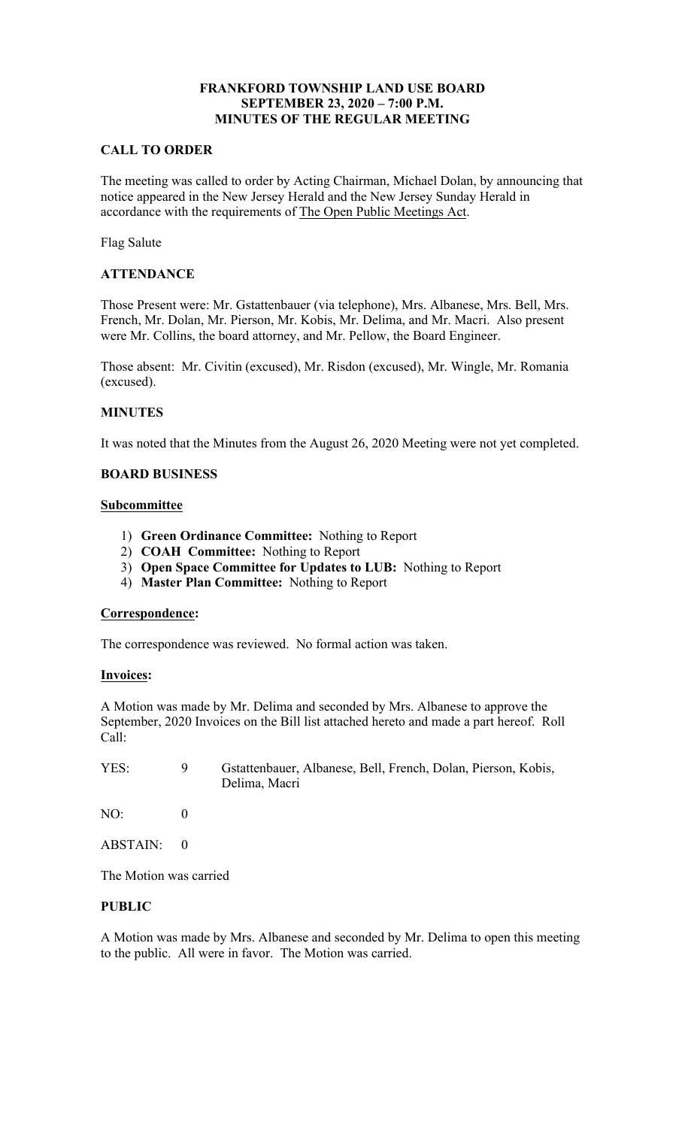# **SEPTEMBER 23, 2020 – 7:00 P.M. FRANKFORD TOWNSHIP LAND USE BOARD MINUTES OF THE REGULAR MEETING**

### **CALL TO ORDER**

accordance with the requirements of The Open Public Meetings Act. The meeting was called to order by Acting Chairman, Michael Dolan, by announcing that notice appeared in the New Jersey Herald and the New Jersey Sunday Herald in

Flag Salute

## **ATTENDANCE**

 French, Mr. Dolan, Mr. Pierson, Mr. Kobis, Mr. Delima, and Mr. Macri. Also present Those Present were: Mr. Gstattenbauer (via telephone), Mrs. Albanese, Mrs. Bell, Mrs. were Mr. Collins, the board attorney, and Mr. Pellow, the Board Engineer.

 Those absent: Mr. Civitin (excused), Mr. Risdon (excused), Mr. Wingle, Mr. Romania (excused).

### **MINUTES**

It was noted that the Minutes from the August 26, 2020 Meeting were not yet completed.

### **BOARD BUSINESS**

### **Subcommittee**

- 1) **Green Ordinance Committee:** Nothing to Report
- 2) **COAH Committee:** Nothing to Report
- 3) **Open Space Committee for Updates to LUB:** Nothing to Report
- 4) **Master Plan Committee:** Nothing to Report

### **Correspondence:**

The correspondence was reviewed. No formal action was taken.

#### **Invoices:**

A Motion was made by Mr. Delima and seconded by Mrs. Albanese to approve the September, 2020 Invoices on the Bill list attached hereto and made a part hereof. Roll Call:

| YES: | Gstattenbauer, Albanese, Bell, French, Dolan, Pierson, Kobis, |  |  |  |
|------|---------------------------------------------------------------|--|--|--|
|      | Delima, Macri                                                 |  |  |  |

NO: 0

ABSTAIN: 0

The Motion was carried

## **PUBLIC**

A Motion was made by Mrs. Albanese and seconded by Mr. Delima to open this meeting to the public. All were in favor. The Motion was carried.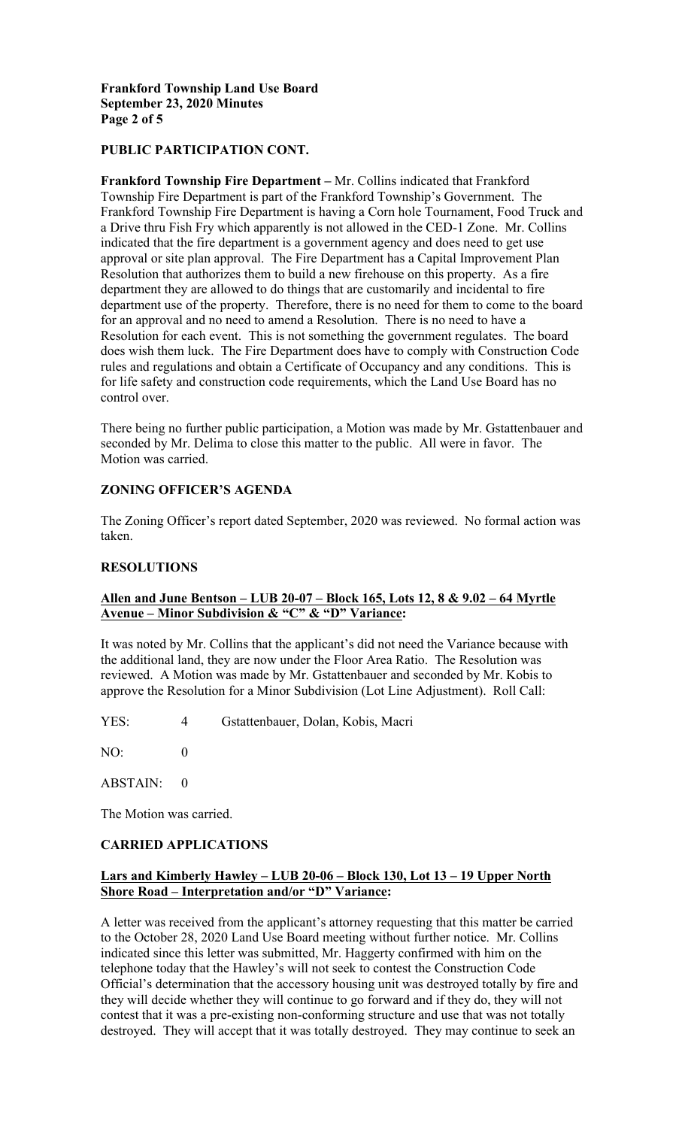# **Frankford Township Land Use Board September 23, 2020 Minutes Page 2 of 5**

### **PUBLIC PARTICIPATION CONT.**

 Frankford Township Fire Department is having a Corn hole Tournament, Food Truck and **Frankford Township Fire Department –** Mr. Collins indicated that Frankford Township Fire Department is part of the Frankford Township's Government. The a Drive thru Fish Fry which apparently is not allowed in the CED-1 Zone. Mr. Collins indicated that the fire department is a government agency and does need to get use approval or site plan approval. The Fire Department has a Capital Improvement Plan Resolution that authorizes them to build a new firehouse on this property. As a fire department they are allowed to do things that are customarily and incidental to fire department use of the property. Therefore, there is no need for them to come to the board for an approval and no need to amend a Resolution. There is no need to have a Resolution for each event. This is not something the government regulates. The board does wish them luck. The Fire Department does have to comply with Construction Code rules and regulations and obtain a Certificate of Occupancy and any conditions. This is for life safety and construction code requirements, which the Land Use Board has no control over.

There being no further public participation, a Motion was made by Mr. Gstattenbauer and seconded by Mr. Delima to close this matter to the public. All were in favor. The Motion was carried.

# **ZONING OFFICER'S AGENDA**

The Zoning Officer's report dated September, 2020 was reviewed. No formal action was taken.

#### **RESOLUTIONS**

## **Allen and June Bentson – LUB 20-07 – Block 165, Lots 12, 8 & 9.02 – 64 Myrtle Avenue – Minor Subdivision & "C" & "D" Variance:**

It was noted by Mr. Collins that the applicant's did not need the Variance because with the additional land, they are now under the Floor Area Ratio. The Resolution was reviewed. A Motion was made by Mr. Gstattenbauer and seconded by Mr. Kobis to approve the Resolution for a Minor Subdivision (Lot Line Adjustment). Roll Call:

YES: 4 Gstattenbauer, Dolan, Kobis, Macri

NO: 0

ABSTAIN: 0

The Motion was carried.

#### **CARRIED APPLICATIONS**

## **Shore Road – Interpretation and/or "D" Variance: Lars and Kimberly Hawley – LUB 20-06 – Block 130, Lot 13 – 19 Upper North**

 to the October 28, 2020 Land Use Board meeting without further notice. Mr. Collins destroyed. They will accept that it was totally destroyed. They may continue to seek an A letter was received from the applicant's attorney requesting that this matter be carried indicated since this letter was submitted, Mr. Haggerty confirmed with him on the telephone today that the Hawley's will not seek to contest the Construction Code Official's determination that the accessory housing unit was destroyed totally by fire and they will decide whether they will continue to go forward and if they do, they will not contest that it was a pre-existing non-conforming structure and use that was not totally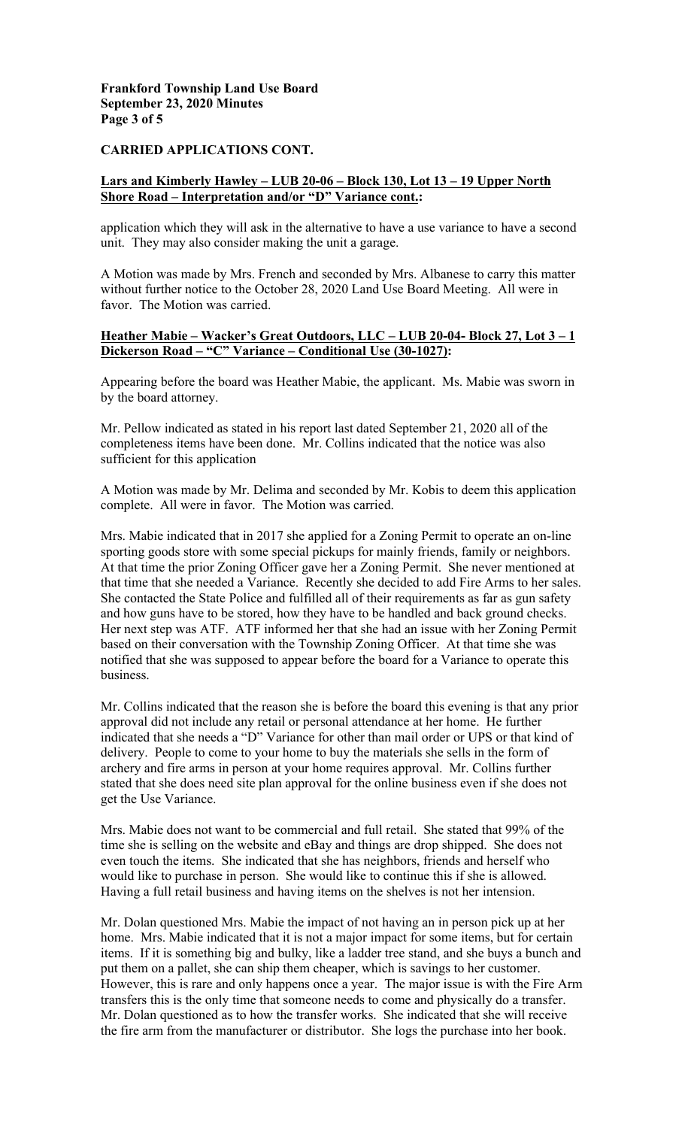# **Frankford Township Land Use Board September 23, 2020 Minutes Page 3 of 5**

### **CARRIED APPLICATIONS CONT.**

# **Shore Road – Interpretation and/or "D" Variance cont.: Lars and Kimberly Hawley – LUB 20-06 – Block 130, Lot 13 – 19 Upper North**

application which they will ask in the alternative to have a use variance to have a second unit. They may also consider making the unit a garage.

A Motion was made by Mrs. French and seconded by Mrs. Albanese to carry this matter without further notice to the October 28, 2020 Land Use Board Meeting. All were in favor. The Motion was carried.

## **Heather Mabie – Wacker's Great Outdoors, LLC – LUB 20-04- Block 27, Lot 3 – 1 Dickerson Road – "C" Variance – Conditional Use (30-1027):**

 Appearing before the board was Heather Mabie, the applicant. Ms. Mabie was sworn in by the board attorney.

Mr. Pellow indicated as stated in his report last dated September 21, 2020 all of the completeness items have been done. Mr. Collins indicated that the notice was also sufficient for this application

A Motion was made by Mr. Delima and seconded by Mr. Kobis to deem this application complete. All were in favor. The Motion was carried.

 sporting goods store with some special pickups for mainly friends, family or neighbors. Mrs. Mabie indicated that in 2017 she applied for a Zoning Permit to operate an on-line At that time the prior Zoning Officer gave her a Zoning Permit. She never mentioned at that time that she needed a Variance. Recently she decided to add Fire Arms to her sales. She contacted the State Police and fulfilled all of their requirements as far as gun safety and how guns have to be stored, how they have to be handled and back ground checks. Her next step was ATF. ATF informed her that she had an issue with her Zoning Permit based on their conversation with the Township Zoning Officer. At that time she was notified that she was supposed to appear before the board for a Variance to operate this business.

 delivery. People to come to your home to buy the materials she sells in the form of Mr. Collins indicated that the reason she is before the board this evening is that any prior approval did not include any retail or personal attendance at her home. He further indicated that she needs a "D" Variance for other than mail order or UPS or that kind of archery and fire arms in person at your home requires approval. Mr. Collins further stated that she does need site plan approval for the online business even if she does not get the Use Variance.

Mrs. Mabie does not want to be commercial and full retail. She stated that 99% of the time she is selling on the website and eBay and things are drop shipped. She does not even touch the items. She indicated that she has neighbors, friends and herself who would like to purchase in person. She would like to continue this if she is allowed. Having a full retail business and having items on the shelves is not her intension.

Mr. Dolan questioned Mrs. Mabie the impact of not having an in person pick up at her home. Mrs. Mabie indicated that it is not a major impact for some items, but for certain items. If it is something big and bulky, like a ladder tree stand, and she buys a bunch and put them on a pallet, she can ship them cheaper, which is savings to her customer. However, this is rare and only happens once a year. The major issue is with the Fire Arm transfers this is the only time that someone needs to come and physically do a transfer. Mr. Dolan questioned as to how the transfer works. She indicated that she will receive the fire arm from the manufacturer or distributor. She logs the purchase into her book.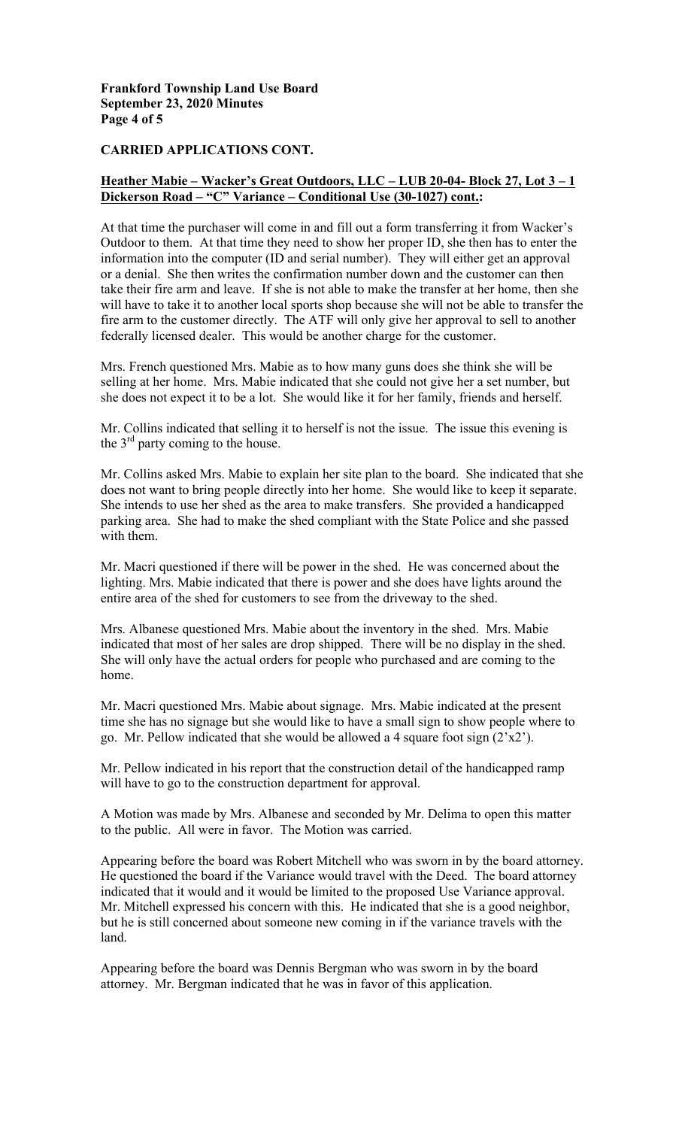### **Frankford Township Land Use Board September 23, 2020 Minutes Page 4 of 5**

### **CARRIED APPLICATIONS CONT.**

## **Heather Mabie – Wacker's Great Outdoors, LLC – LUB 20-04- Block 27, Lot 3 – 1 Dickerson Road – "C" Variance – Conditional Use (30-1027) cont.:**

At that time the purchaser will come in and fill out a form transferring it from Wacker's Outdoor to them. At that time they need to show her proper ID, she then has to enter the information into the computer (ID and serial number). They will either get an approval or a denial. She then writes the confirmation number down and the customer can then take their fire arm and leave. If she is not able to make the transfer at her home, then she will have to take it to another local sports shop because she will not be able to transfer the fire arm to the customer directly. The ATF will only give her approval to sell to another federally licensed dealer. This would be another charge for the customer.

Mrs. French questioned Mrs. Mabie as to how many guns does she think she will be selling at her home. Mrs. Mabie indicated that she could not give her a set number, but she does not expect it to be a lot. She would like it for her family, friends and herself.

Mr. Collins indicated that selling it to herself is not the issue. The issue this evening is the  $3<sup>rd</sup>$  party coming to the house.

Mr. Collins asked Mrs. Mabie to explain her site plan to the board. She indicated that she does not want to bring people directly into her home. She would like to keep it separate. She intends to use her shed as the area to make transfers. She provided a handicapped parking area. She had to make the shed compliant with the State Police and she passed with them.

Mr. Macri questioned if there will be power in the shed. He was concerned about the lighting. Mrs. Mabie indicated that there is power and she does have lights around the entire area of the shed for customers to see from the driveway to the shed.

Mrs. Albanese questioned Mrs. Mabie about the inventory in the shed. Mrs. Mabie indicated that most of her sales are drop shipped. There will be no display in the shed. She will only have the actual orders for people who purchased and are coming to the home.

Mr. Macri questioned Mrs. Mabie about signage. Mrs. Mabie indicated at the present time she has no signage but she would like to have a small sign to show people where to go. Mr. Pellow indicated that she would be allowed a 4 square foot sign  $(2 \times 2)$ .

Mr. Pellow indicated in his report that the construction detail of the handicapped ramp will have to go to the construction department for approval.

A Motion was made by Mrs. Albanese and seconded by Mr. Delima to open this matter to the public. All were in favor. The Motion was carried.

Appearing before the board was Robert Mitchell who was sworn in by the board attorney. He questioned the board if the Variance would travel with the Deed. The board attorney indicated that it would and it would be limited to the proposed Use Variance approval. Mr. Mitchell expressed his concern with this. He indicated that she is a good neighbor, but he is still concerned about someone new coming in if the variance travels with the land.

Appearing before the board was Dennis Bergman who was sworn in by the board attorney. Mr. Bergman indicated that he was in favor of this application.